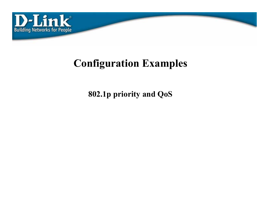

# **Configuration Examples**

**802.1p priority and QoS**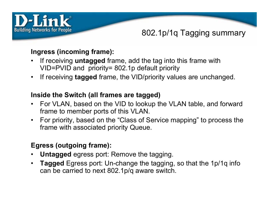

### 802.1p/1q Tagging summary

#### **Ingress (incoming frame):**

- • If receiving **untagged** frame, add the tag into this frame with VID=PVID and priority= 802.1p default priority
- If receiving **tagged** frame, the VID/priority values are unchanged.

#### **Inside the Switch (all frames are tagged)**

- For VLAN, based on the VID to lookup the VLAN table, and forward frame to member ports of this VLAN.
- For priority, based on the "Class of Service mapping" to process the frame with associated priority Queue.

#### **Egress (outgoing frame):**

- •**Untagged** egress port: Remove the tagging.
- • **Tagged** Egress port: Un-change the tagging, so that the 1p/1q info can be carried to next 802.1p/q aware switch.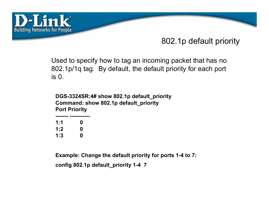

## 802.1p default priority

Used to specify how to tag an incoming packet that has no 802.1p/1q tag. By default, the default priority for each port is 0.

**DGS-3324SR:4# show 802.1p default\_priority Command: show 802.1p default\_priority Port Priority**

| 1:1 | 0 |
|-----|---|
| 1:2 | 0 |
| 1:3 | 0 |

**Example: Change the default priority for ports 1-4 to 7:** 

**config 802.1p default\_priority 1-4 7**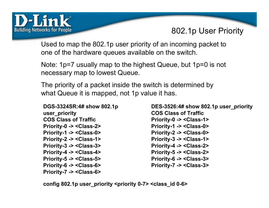

### 802.1p User Priority

Used to map the 802.1p user priority of an incoming packet to one of the hardware queues available on the switch.

Note: 1p=7 usually map to the highest Queue, but 1p=0 is not necessary map to lowest Queue.

The priority of a packet inside the switch is determined by what Queue it is mapped, not 1p value it has.

**DGS-3324SR:4# show 802.1p user\_priority COS Class of TrafficPriority-0 -> <Class-2> Priority-1 -> <Class-0> Priority-2 -> <Class-1> Priority-3 -> <Class-3> Priority-4 -> <Class-4> Priority-5 -> <Class-5> Priority-6 -> <Class-6> Priority-7 -> <Class-6>**

**DES-3526:4# show 802.1p user\_priority COS Class of TrafficPriority-0 -> <Class-1> Priority-1 -> <Class-0> Priority-2 -> <Class-0> Priority-3 -> <Class-1> Priority-4 -> <Class-2> Priority-5 -> <Class-2> Priority-6 -> <Class-3> Priority-7 -> <Class-3>**

**config 802.1p user\_priority <priority 0-7> <class\_id 0-6>**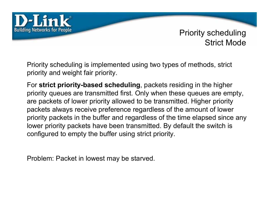

#### Priority scheduling Strict Mode

Priority scheduling is implemented using two types of methods, strict priority and weight fair priority.

For **strict priority-based scheduling**, packets residing in the higher priority queues are transmitted first. Only when these queues are empty, are packets of lower priority allowed to be transmitted. Higher priority packets always receive preference regardless of the amount of lower priority packets in the buffer and regardless of the time elapsed since any lower priority packets have been transmitted. By default the switch is configured to empty the buffer using strict priority.

Problem: Packet in lowest may be starved.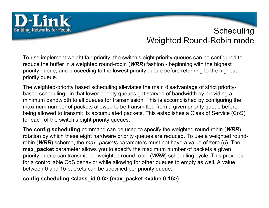

## **Scheduling** Weighted Round-Robin mode

To use implement weight fair priority, the switch's eight priority queues can be configured to reduce the buffer in a weighted round-robin (*WRR*) fashion - beginning with the highest priority queue, and proceeding to the lowest priority queue before returning to the highest priority queue.

The weighted-priority based scheduling alleviates the main disadvantage of strict prioritybased scheduling . in that lower priority queues get starved of bandwidth by providing a minimum bandwidth to all queues for transmission. This is accomplished by configuring the maximum number of packets allowed to be transmitted from a given priority queue before being allowed to transmit its accumulated packets. This establishes a Class of Service (CoS) for each of the switch's eight priority queues.

The **config scheduling** command can be used to specify the weighted round-robin (*WRR*) rotation by which these eight hardware priority queues are reduced. To use a weighted roundrobin (*WRR*) scheme, the *max\_packets* parameters must not have a value of zero (*0*). The **max** packet parameter allows you to specify the maximum number of packets a given priority queue can transmit per weighted round robin (*WRR*) scheduling cycle. This provides for a controllable CoS behavior while allowing for other queues to empty as well. A value between 0 and 15 packets can be specified per priority queue.

#### **config scheduling <class\_id 0-6> {max\_packet <value 0-15>}**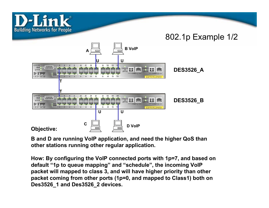

**B and D are running VoIP application, and need the higher QoS than other stations running other regular application.**

**How: By configuring the VoIP connected ports with 1p=7, and based on default "1p to queue mapping" and "schedule", the incoming VoIP packet will mapped to class 3, and will have higher priority than other packet coming from other ports (1p=0, and mapped to Class1) both on Des3526\_1 and Des3526\_2 devices.**